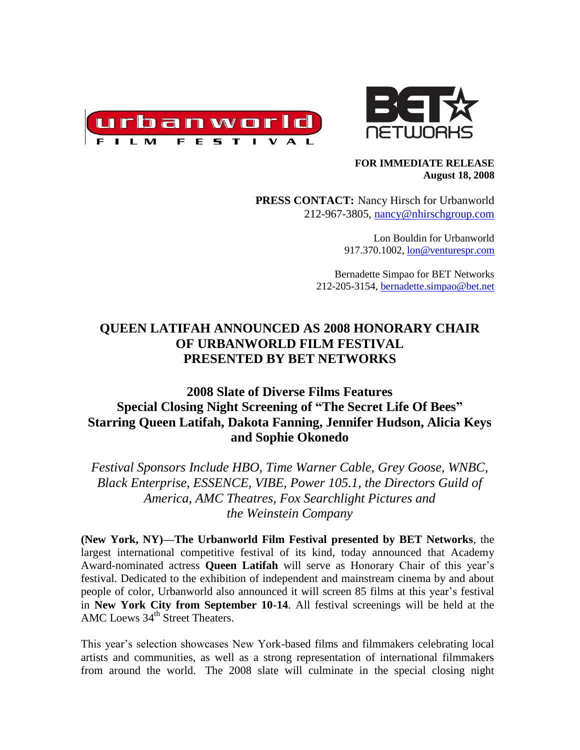



### **FOR IMMEDIATE RELEASE August 18, 2008**

**PRESS CONTACT:** Nancy Hirsch for Urbanworld 212-967-3805, [nancy@nhirschgroup.com](mailto:nancy@nhirschgroup.com)

> Lon Bouldin for Urbanworld 917.370.1002[, lon@venturespr.com](mailto:lon@venturespr.com)

Bernadette Simpao for BET Networks 212-205-3154, [bernadette.simpao@bet.net](mailto:bernadette.simpao@bet.net)

# **QUEEN LATIFAH ANNOUNCED AS 2008 HONORARY CHAIR OF URBANWORLD FILM FESTIVAL PRESENTED BY BET NETWORKS**

## **2008 Slate of Diverse Films Features Special Closing Night Screening of "The Secret Life Of Bees" Starring Queen Latifah, Dakota Fanning, Jennifer Hudson, Alicia Keys and Sophie Okonedo**

*Festival Sponsors Include HBO, Time Warner Cable, Grey Goose, WNBC, Black Enterprise, ESSENCE, VIBE, Power 105.1, the Directors Guild of America, AMC Theatres, Fox Searchlight Pictures and the Weinstein Company*

**(New York, NY)—The Urbanworld Film Festival presented by BET Networks**, the largest international competitive festival of its kind, today announced that Academy Award-nominated actress **Queen Latifah** will serve as Honorary Chair of this year's festival. Dedicated to the exhibition of independent and mainstream cinema by and about people of color, Urbanworld also announced it will screen 85 films at this year's festival in **New York City from September 10-14**. All festival screenings will be held at the AMC Loews 34<sup>th</sup> Street Theaters.

This year's selection showcases New York-based films and filmmakers celebrating local artists and communities, as well as a strong representation of international filmmakers from around the world. The 2008 slate will culminate in the special closing night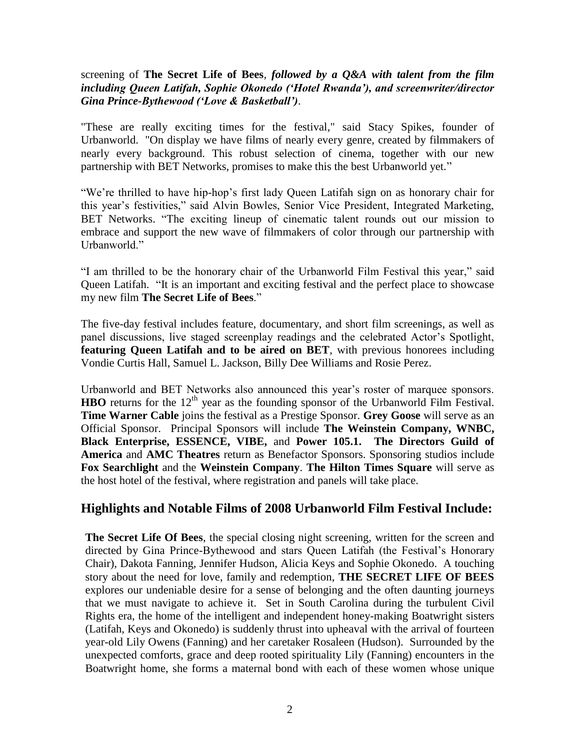### screening of **The Secret Life of Bees**, *followed by a Q&A with talent from the film including Queen Latifah, Sophie Okonedo ('Hotel Rwanda'), and screenwriter/director Gina Prince-Bythewood ('Love & Basketball')*.

"These are really exciting times for the festival," said Stacy Spikes, founder of Urbanworld. "On display we have films of nearly every genre, created by filmmakers of nearly every background. This robust selection of cinema, together with our new partnership with BET Networks, promises to make this the best Urbanworld yet."

"We're thrilled to have hip-hop's first lady Queen Latifah sign on as honorary chair for this year's festivities," said Alvin Bowles, Senior Vice President, Integrated Marketing, BET Networks. "The exciting lineup of cinematic talent rounds out our mission to embrace and support the new wave of filmmakers of color through our partnership with Urbanworld."

"I am thrilled to be the honorary chair of the Urbanworld Film Festival this year," said Queen Latifah. "It is an important and exciting festival and the perfect place to showcase my new film **The Secret Life of Bees**."

The five-day festival includes feature, documentary, and short film screenings, as well as panel discussions, live staged screenplay readings and the celebrated Actor's Spotlight, **featuring Queen Latifah and to be aired on BET**, with previous honorees including Vondie Curtis Hall, Samuel L. Jackson, Billy Dee Williams and Rosie Perez.

Urbanworld and BET Networks also announced this year's roster of marquee sponsors. **HBO** returns for the 12<sup>th</sup> year as the founding sponsor of the Urbanworld Film Festival. **Time Warner Cable** joins the festival as a Prestige Sponsor. **Grey Goose** will serve as an Official Sponsor. Principal Sponsors will include **The Weinstein Company, WNBC, Black Enterprise, ESSENCE, VIBE,** and **Power 105.1. The Directors Guild of America** and **AMC Theatres** return as Benefactor Sponsors. Sponsoring studios include **Fox Searchlight** and the **Weinstein Company**. **The Hilton Times Square** will serve as the host hotel of the festival, where registration and panels will take place.

## **Highlights and Notable Films of 2008 Urbanworld Film Festival Include:**

**The Secret Life Of Bees**, the special closing night screening, written for the screen and directed by Gina Prince-Bythewood and stars Queen Latifah (the Festival's Honorary Chair), Dakota Fanning, Jennifer Hudson, Alicia Keys and Sophie Okonedo. A touching story about the need for love, family and redemption, **THE SECRET LIFE OF BEES** explores our undeniable desire for a sense of belonging and the often daunting journeys that we must navigate to achieve it. Set in South Carolina during the turbulent Civil Rights era, the home of the intelligent and independent honey-making Boatwright sisters (Latifah, Keys and Okonedo) is suddenly thrust into upheaval with the arrival of fourteen year-old Lily Owens (Fanning) and her caretaker Rosaleen (Hudson). Surrounded by the unexpected comforts, grace and deep rooted spirituality Lily (Fanning) encounters in the Boatwright home, she forms a maternal bond with each of these women whose unique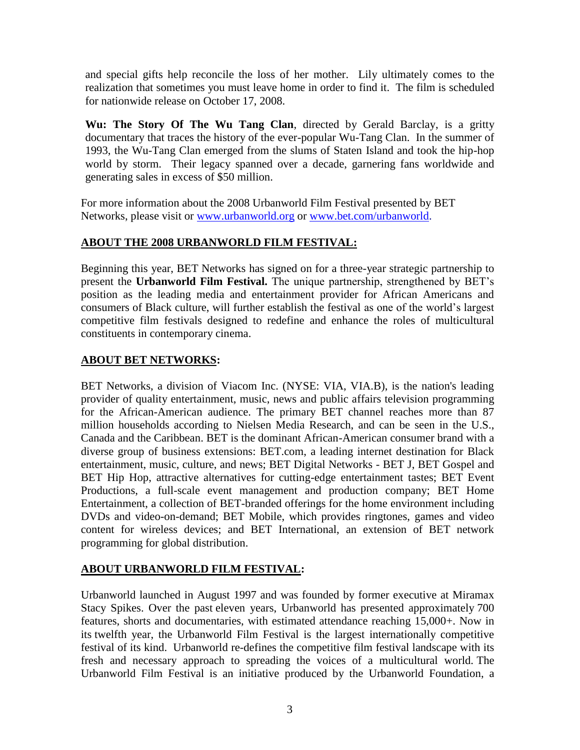and special gifts help reconcile the loss of her mother. Lily ultimately comes to the realization that sometimes you must leave home in order to find it. The film is scheduled for nationwide release on October 17, 2008.

**Wu: The Story Of The Wu Tang Clan**, directed by Gerald Barclay, is a gritty documentary that traces the history of the ever-popular Wu-Tang Clan. In the summer of 1993, the Wu-Tang Clan emerged from the slums of Staten Island and took the hip-hop world by storm. Their legacy spanned over a decade, garnering fans worldwide and generating sales in excess of \$50 million.

For more information about the 2008 Urbanworld Film Festival presented by BET Networks, please visit or [www.urbanworld.org](http://www.urbanworld.org/) or [www.bet.com/urbanworld.](http://www.bet.com/urbanworld)

### **ABOUT THE 2008 URBANWORLD FILM FESTIVAL:**

Beginning this year, BET Networks has signed on for a three-year strategic partnership to present the **Urbanworld Film Festival.** The unique partnership, strengthened by BET's position as the leading media and entertainment provider for African Americans and consumers of Black culture, will further establish the festival as one of the world's largest competitive film festivals designed to redefine and enhance the roles of multicultural constituents in contemporary cinema.

### **ABOUT BET NETWORKS:**

BET Networks, a division of Viacom Inc. (NYSE: VIA, VIA.B), is the nation's leading provider of quality entertainment, music, news and public affairs television programming for the African-American audience. The primary BET channel reaches more than 87 million households according to Nielsen Media Research, and can be seen in the U.S., Canada and the Caribbean. BET is the dominant African-American consumer brand with a diverse group of business extensions: BET.com, a leading internet destination for Black entertainment, music, culture, and news; BET Digital Networks - BET J, BET Gospel and BET Hip Hop, attractive alternatives for cutting-edge entertainment tastes; BET Event Productions, a full-scale event management and production company; BET Home Entertainment, a collection of BET-branded offerings for the home environment including DVDs and video-on-demand; BET Mobile, which provides ringtones, games and video content for wireless devices; and BET International, an extension of BET network programming for global distribution.

### **ABOUT URBANWORLD FILM FESTIVAL:**

Urbanworld launched in August 1997 and was founded by former executive at Miramax Stacy Spikes. Over the past eleven years, Urbanworld has presented approximately 700 features, shorts and documentaries, with estimated attendance reaching 15,000+. Now in its twelfth year, the Urbanworld Film Festival is the largest internationally competitive festival of its kind. Urbanworld re-defines the competitive film festival landscape with its fresh and necessary approach to spreading the voices of a multicultural world. The Urbanworld Film Festival is an initiative produced by the Urbanworld Foundation, a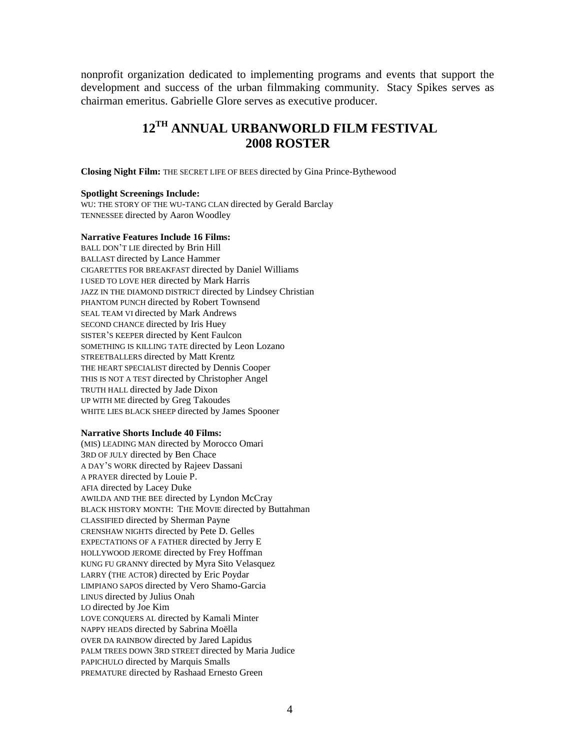nonprofit organization dedicated to implementing programs and events that support the development and success of the urban filmmaking community. Stacy Spikes serves as chairman emeritus. Gabrielle Glore serves as executive producer.

# **12TH ANNUAL URBANWORLD FILM FESTIVAL 2008 ROSTER**

**Closing Night Film:** THE SECRET LIFE OF BEES directed by Gina Prince-Bythewood

#### **Spotlight Screenings Include:**

WU: THE STORY OF THE WU-TANG CLAN directed by Gerald Barclay TENNESSEE directed by Aaron Woodley

#### **Narrative Features Include 16 Films:**

BALL DON'T LIE directed by Brin Hill BALLAST directed by Lance Hammer CIGARETTES FOR BREAKFAST directed by Daniel Williams I USED TO LOVE HER directed by Mark Harris JAZZ IN THE DIAMOND DISTRICT directed by Lindsey Christian PHANTOM PUNCH directed by Robert Townsend SEAL TEAM VI directed by Mark Andrews SECOND CHANCE directed by Iris Huey SISTER'S KEEPER directed by Kent Faulcon SOMETHING IS KILLING TATE directed by Leon Lozano STREETBALLERS directed by Matt Krentz THE HEART SPECIALIST directed by Dennis Cooper THIS IS NOT A TEST directed by Christopher Angel TRUTH HALL directed by Jade Dixon UP WITH ME directed by Greg Takoudes WHITE LIES BLACK SHEEP directed by James Spooner

#### **Narrative Shorts Include 40 Films:**

(MIS) LEADING MAN directed by Morocco Omari 3RD OF JULY directed by Ben Chace A DAY'S WORK directed by Rajeev Dassani A PRAYER directed by Louie P. AFIA directed by Lacey Duke AWILDA AND THE BEE directed by Lyndon McCray BLACK HISTORY MONTH: THE MOVIE directed by Buttahman CLASSIFIED directed by Sherman Payne CRENSHAW NIGHTS directed by Pete D. Gelles EXPECTATIONS OF A FATHER directed by Jerry E HOLLYWOOD JEROME directed by Frey Hoffman KUNG FU GRANNY directed by Myra Sito Velasquez LARRY (THE ACTOR) directed by Eric Poydar LIMPIANO SAPOS directed by Vero Shamo-Garcia LINUS directed by Julius Onah LO directed by Joe Kim LOVE CONQUERS AL directed by Kamali Minter NAPPY HEADS directed by Sabrina Moëlla OVER DA RAINBOW directed by Jared Lapidus PALM TREES DOWN 3RD STREET directed by Maria Judice PAPICHULO directed by Marquis Smalls PREMATURE directed by Rashaad Ernesto Green